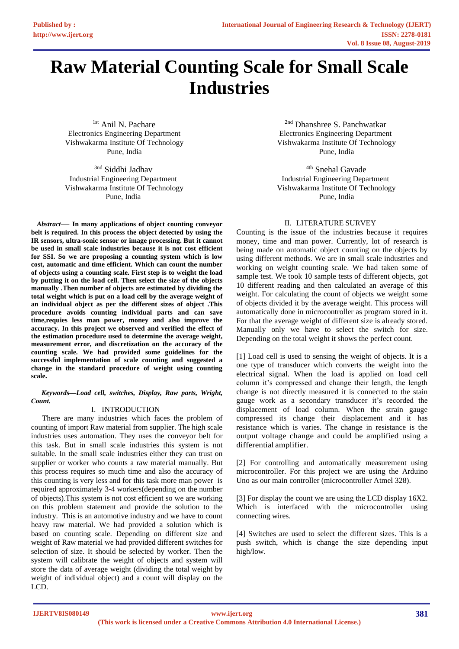# **Raw Material Counting Scale for Small Scale Industries**

<sup>1st</sup> Anil N. Pachare Electronics Engineering Department Vishwakarma Institute Of Technology Pune, India

<sup>3nd</sup> Siddhi Jadhav Industrial Engineering Department Vishwakarma Institute Of Technology Pune, India

*Abstract*— **In many applications of object counting conveyor belt is required. In this process the object detected by using the IR sensors, ultra-sonic sensor or image processing. But it cannot be used in small scale industries because it is not cost efficient for SSI. So we are proposing a counting system which is low cost, automatic and time efficient. Which can count the number of objects using a counting scale. First step is to weight the load by putting it on the load cell. Then select the size of the objects manually .Then number of objects are estimated by dividing the total weight which is put on a load cell by the average weight of an individual object as per the different sizes of object .This procedure avoids counting individual parts and can save time,requies less man power, money and also improve the accuracy. In this project we observed and verified the effect of the estimation procedure used to determine the average weight, measurement error, and discretization on the accuracy of the counting scale. We had provided some guidelines for the successful implementation of scale counting and suggested a change in the standard procedure of weight using counting scale.**

*Keywords—Load cell, switches, Display, Raw parts, Wright, Count.*

## I. INTRODUCTION

There are many industries which faces the problem of counting of import Raw material from supplier. The high scale industries uses automation. They uses the conveyor belt for this task. But in small scale industries this system is not suitable. In the small scale industries either they can trust on supplier or worker who counts a raw material manually. But this process requires so much time and also the accuracy of this counting is very less and for this task more man power is required approximately 3-4 workers(depending on the number of objects).This system is not cost efficient so we are working on this problem statement and provide the solution to the industry. This is an automotive industry and we have to count heavy raw material. We had provided a solution which is based on counting scale. Depending on different size and weight of Raw material we had provided different switches for selection of size. It should be selected by worker. Then the system will calibrate the weight of objects and system will store the data of average weight (dividing the total weight by weight of individual object) and a count will display on the LCD.

2nd Dhanshree S. Panchwatkar Electronics Engineering Department Vishwakarma Institute Of Technology Pune, India

<sup>4th</sup> Snehal Gavade Industrial Engineering Department Vishwakarma Institute Of Technology Pune, India

## II. LITERATURE SURVEY

Counting is the issue of the industries because it requires money, time and man power. Currently, lot of research is being made on automatic object counting on the objects by using different methods. We are in small scale industries and working on weight counting scale. We had taken some of sample test. We took 10 sample tests of different objects, got 10 different reading and then calculated an average of this weight. For calculating the count of objects we weight some of objects divided it by the average weight. This process will automatically done in microcontroller as program stored in it. For that the average weight of different size is already stored. Manually only we have to select the switch for size. Depending on the total weight it shows the perfect count.

[1] Load cell is used to sensing the weight of objects. It is a one type of transducer which converts the weight into the electrical signal. When the load is applied on load cell column it's compressed and change their length, the length change is not directly measured it is connected to the stain gauge work as a secondary transducer it's recorded the displacement of load column. When the strain gauge compressed its change their displacement and it has resistance which is varies. The change in resistance is the output voltage change and could be amplified using a differential amplifier.

[2] For controlling and automatically measurement using microcontroller. For this project we are using the Arduino Uno as our main controller (microcontroller Atmel 328).

[3] For display the count we are using the LCD display 16X2. Which is interfaced with the microcontroller using connecting wires.

[4] Switches are used to select the different sizes. This is a push switch, which is change the size depending input high/low.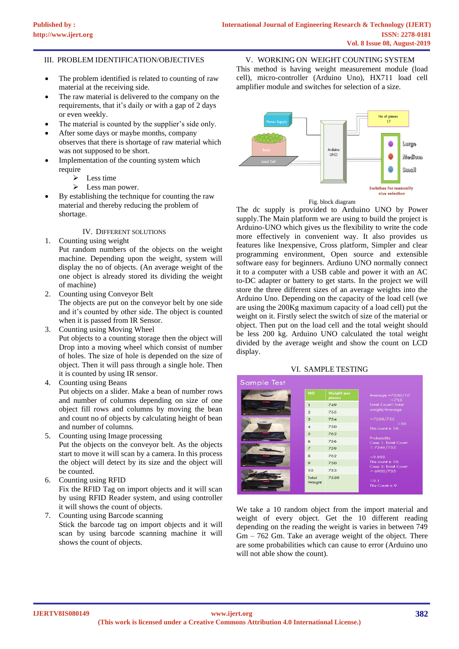### III. PROBLEM IDENTIFICATION/OBJECTIVES

- The problem identified is related to counting of raw material at the receiving side.
- The raw material is delivered to the company on the requirements, that it's daily or with a gap of 2 days or even weekly.
- The material is counted by the supplier's side only.
- After some days or maybe months, company observes that there is shortage of raw material which was not supposed to be short.
- Implementation of the counting system which require
	- ➢ Less time
	- ➢ Less man power.
- By establishing the technique for counting the raw material and thereby reducing the problem of shortage.

IV. DIFFERENT SOLUTIONS

1. Counting using weight

Put random numbers of the objects on the weight machine. Depending upon the weight, system will display the no of objects. (An average weight of the one object is already stored its dividing the weight of machine)

2. Counting using Conveyor Belt The objects are put on the conveyor belt by one side

and it's counted by other side. The object is counted when it is passed from IR Sensor.

- 3. Counting using Moving Wheel Put objects to a counting storage then the object will Drop into a moving wheel which consist of number of holes. The size of hole is depended on the size of object. Then it will pass through a single hole. Then it is counted by using IR sensor.
- 4. Counting using Beans

Put objects on a slider. Make a bean of number rows and number of columns depending on size of one object fill rows and columns by moving the bean and count no of objects by calculating height of bean and number of columns.

5. Counting using Image processing

Put the objects on the conveyor belt. As the objects start to move it will scan by a camera. In this process the object will detect by its size and the object will be counted.

- 6. Counting using RFID Fix the RFID Tag on import objects and it will scan by using RFID Reader system, and using controller it will shows the count of objects.
- 7. Counting using Barcode scanning Stick the barcode tag on import objects and it will scan by using barcode scanning machine it will shows the count of objects.

V. WORKING ON WEIGHT COUNTING SYSTEM This method is having weight measurement module (load cell), micro-controller (Arduino Uno), HX711 load cell amplifier module and switches for selection of a size.



Fig. block diagram

The dc supply is provided to Arduino UNO by Power supply.The Main platform we are using to build the project is Arduino-UNO which gives us the flexibility to write the code more effectively in convenient way. It also provides us features like Inexpensive, Cross platform, Simpler and clear programming environment, Open source and extensible software easy for beginners. Ardiuno UNO normally connect it to a computer with a USB cable and power it with an AC to-DC adapter or battery to get starts. In the project we will store the three different sizes of an average weights into the Arduino Uno. Depending on the capacity of the load cell (we are using the 200Kg maximum capacity of a load cell) put the weight on it. Firstly select the switch of size of the material or object. Then put on the load cell and the total weight should be less 200 kg. Arduino UNO calculated the total weight divided by the average weight and show the count on LCD display.

#### VI. SAMPLE TESTING

| Sample Test               |                     |                      |                                         |
|---------------------------|---------------------|----------------------|-----------------------------------------|
|                           | <b>NO</b>           | Weight per<br>pieces | Average $=7550/10$<br>$=755$            |
| .                         | $\mathbf{I}$        | 749                  | <b>Total Count=Total</b>                |
| $\bullet$ or supervisors. | $\overline{2}$      | 755                  | weight/Average                          |
|                           | 3                   | 754                  | $=7550/755$                             |
|                           | $\overline{4}$      | 750                  | $=10$<br>The count is 10.               |
|                           | 5                   | 762                  |                                         |
|                           | $\ddot{\mathbf{c}}$ | 756                  | Probability<br>Case 1: Total Count      |
|                           | $\overline{z}$      | 759                  | $= 7549/755$                            |
|                           | $\mathbf{R}$        | 762                  | $= 9.998$                               |
|                           | $\circ$             | 750                  | The count is 10.<br>Case 2: Total Count |
|                           | 10                  | 753                  | $= 6900/755$                            |
| $\bullet$ calculations.   | Total<br>Weight     | 7550                 | $= 9.1$<br>The Count is 9.              |

We take a 10 random object from the import material and weight of every object. Get the 10 different reading depending on the reading the weight is varies in between 749 Gm – 762 Gm. Take an average weight of the object. There are some probabilities which can cause to error (Arduino uno will not able show the count).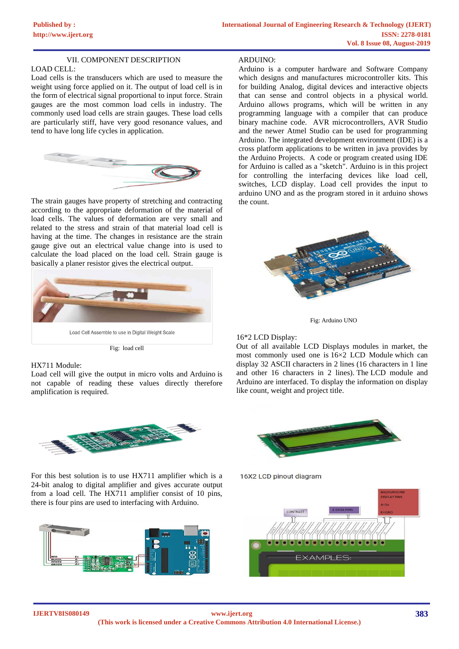### VII. COMPONENT DESCRIPTION

#### LOAD CELL:

Load cells is the transducers which are used to measure the weight using force applied on it. The output of load cell is in the form of electrical signal proportional to input force. Strain gauges are the most common load cells in industry. The commonly used load cells are strain gauges. These load cells are particularly stiff, have very good resonance values, and tend to have long life cycles in application.



The strain gauges have property of stretching and contracting according to the appropriate deformation of the material of load cells. The values of deformation are very small and related to the stress and strain of that material load cell is having at the time. The changes in resistance are the strain gauge give out an electrical value change into is used to calculate the load placed on the load cell. Strain gauge is basically a planer resistor gives the electrical output.



Fig: load cell

#### HX711 Module:

Load cell will give the output in micro volts and Arduino is not capable of reading these values directly therefore amplification is required.



For this best solution is to use HX711 amplifier which is a 24-bit analog to digital amplifier and gives accurate output from a load cell. The HX711 amplifier consist of 10 pins, there is four pins are used to interfacing with Arduino.



#### ARDUINO:

Arduino is a computer hardware and Software Company which designs and manufactures microcontroller kits. This for building Analog, digital devices and interactive objects that can sense and control objects in a physical world. Arduino allows programs, which will be written in any programming language with a compiler that can produce binary machine code. AVR microcontrollers, AVR Studio and the newer Atmel Studio can be used for programming Arduino. The integrated development environment (IDE) is a cross platform applications to be written in java provides by the Arduino Projects. A code or program created using IDE for Arduino is called as a "sketch". Arduino is in this project for controlling the interfacing devices like load cell, switches, LCD display. Load cell provides the input to arduino UNO and as the program stored in it arduino shows the count.



Fig: Arduino UNO

#### 16\*2 LCD Display:

Out of all available LCD Displays modules in market, the most commonly used one is 16×2 LCD Module which can display 32 ASCII characters in 2 lines (16 characters in 1 line and other 16 characters in 2 lines). The LCD module and Arduino are interfaced. To display the information on display like count, weight and project title.



16X2 LCD pinout diagram